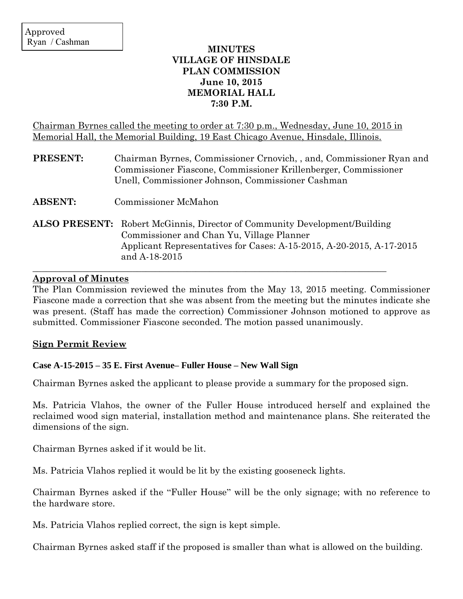# **MINUTES VILLAGE OF HINSDALE PLAN COMMISSION June 10, 2015 MEMORIAL HALL 7:30 P.M.**

Chairman Byrnes called the meeting to order at 7:30 p.m., Wednesday, June 10, 2015 in Memorial Hall, the Memorial Building, 19 East Chicago Avenue, Hinsdale, Illinois.

| <b>PRESENT:</b> | Chairman Byrnes, Commissioner Crnovich, and, Commissioner Ryan and<br>Commissioner Fiascone, Commissioner Krillenberger, Commissioner<br>Unell, Commissioner Johnson, Commissioner Cashman                             |
|-----------------|------------------------------------------------------------------------------------------------------------------------------------------------------------------------------------------------------------------------|
| <b>ABSENT:</b>  | <b>Commissioner McMahon</b>                                                                                                                                                                                            |
|                 | <b>ALSO PRESENT:</b> Robert McGinnis, Director of Community Development/Building<br>Commissioner and Chan Yu, Village Planner<br>Applicant Representatives for Cases: A-15-2015, A-20-2015, A-17-2015<br>and A-18-2015 |

## **Approval of Minutes**

The Plan Commission reviewed the minutes from the May 13, 2015 meeting. Commissioner Fiascone made a correction that she was absent from the meeting but the minutes indicate she was present. (Staff has made the correction) Commissioner Johnson motioned to approve as submitted. Commissioner Fiascone seconded. The motion passed unanimously.

 $\_$  , and the contribution of the contribution of the contribution of the contribution of  $\mathcal{L}_\mathbf{z}$ 

## **Sign Permit Review**

## **Case A-15-2015 – 35 E. First Avenue– Fuller House – New Wall Sign**

Chairman Byrnes asked the applicant to please provide a summary for the proposed sign.

Ms. Patricia Vlahos, the owner of the Fuller House introduced herself and explained the reclaimed wood sign material, installation method and maintenance plans. She reiterated the dimensions of the sign.

Chairman Byrnes asked if it would be lit.

Ms. Patricia Vlahos replied it would be lit by the existing gooseneck lights.

Chairman Byrnes asked if the "Fuller House" will be the only signage; with no reference to the hardware store.

Ms. Patricia Vlahos replied correct, the sign is kept simple.

Chairman Byrnes asked staff if the proposed is smaller than what is allowed on the building.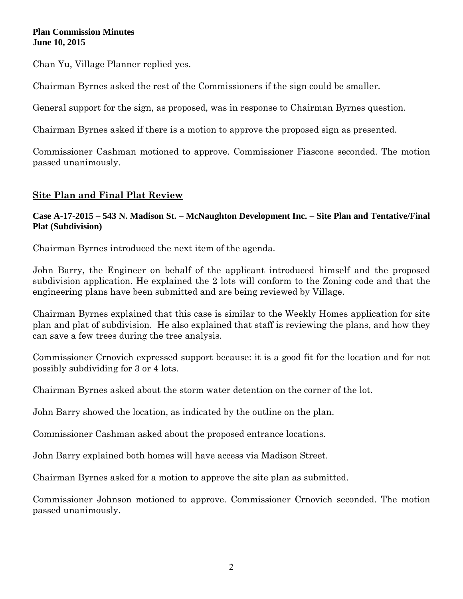Chan Yu, Village Planner replied yes.

Chairman Byrnes asked the rest of the Commissioners if the sign could be smaller.

General support for the sign, as proposed, was in response to Chairman Byrnes question.

Chairman Byrnes asked if there is a motion to approve the proposed sign as presented.

Commissioner Cashman motioned to approve. Commissioner Fiascone seconded. The motion passed unanimously.

# **Site Plan and Final Plat Review**

# **Case A-17-2015 – 543 N. Madison St. – McNaughton Development Inc. – Site Plan and Tentative/Final Plat (Subdivision)**

Chairman Byrnes introduced the next item of the agenda.

John Barry, the Engineer on behalf of the applicant introduced himself and the proposed subdivision application. He explained the 2 lots will conform to the Zoning code and that the engineering plans have been submitted and are being reviewed by Village.

Chairman Byrnes explained that this case is similar to the Weekly Homes application for site plan and plat of subdivision. He also explained that staff is reviewing the plans, and how they can save a few trees during the tree analysis.

Commissioner Crnovich expressed support because: it is a good fit for the location and for not possibly subdividing for 3 or 4 lots.

Chairman Byrnes asked about the storm water detention on the corner of the lot.

John Barry showed the location, as indicated by the outline on the plan.

Commissioner Cashman asked about the proposed entrance locations.

John Barry explained both homes will have access via Madison Street.

Chairman Byrnes asked for a motion to approve the site plan as submitted.

Commissioner Johnson motioned to approve. Commissioner Crnovich seconded. The motion passed unanimously.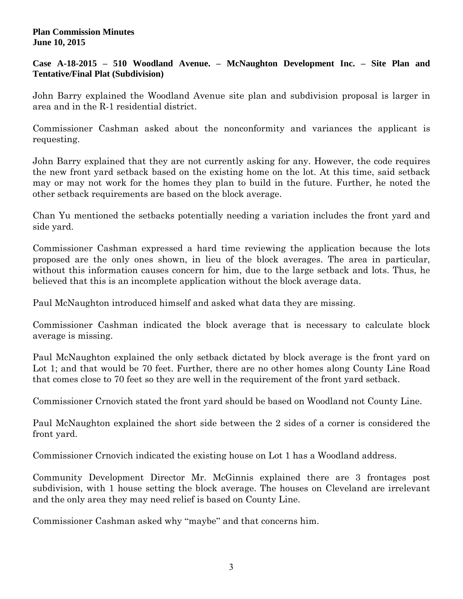## **Case A-18-2015 – 510 Woodland Avenue. – McNaughton Development Inc. – Site Plan and Tentative/Final Plat (Subdivision)**

John Barry explained the Woodland Avenue site plan and subdivision proposal is larger in area and in the R-1 residential district.

Commissioner Cashman asked about the nonconformity and variances the applicant is requesting.

John Barry explained that they are not currently asking for any. However, the code requires the new front yard setback based on the existing home on the lot. At this time, said setback may or may not work for the homes they plan to build in the future. Further, he noted the other setback requirements are based on the block average.

Chan Yu mentioned the setbacks potentially needing a variation includes the front yard and side yard.

Commissioner Cashman expressed a hard time reviewing the application because the lots proposed are the only ones shown, in lieu of the block averages. The area in particular, without this information causes concern for him, due to the large setback and lots. Thus, he believed that this is an incomplete application without the block average data.

Paul McNaughton introduced himself and asked what data they are missing.

Commissioner Cashman indicated the block average that is necessary to calculate block average is missing.

Paul McNaughton explained the only setback dictated by block average is the front yard on Lot 1; and that would be 70 feet. Further, there are no other homes along County Line Road that comes close to 70 feet so they are well in the requirement of the front yard setback.

Commissioner Crnovich stated the front yard should be based on Woodland not County Line.

Paul McNaughton explained the short side between the 2 sides of a corner is considered the front yard.

Commissioner Crnovich indicated the existing house on Lot 1 has a Woodland address.

Community Development Director Mr. McGinnis explained there are 3 frontages post subdivision, with 1 house setting the block average. The houses on Cleveland are irrelevant and the only area they may need relief is based on County Line.

Commissioner Cashman asked why "maybe" and that concerns him.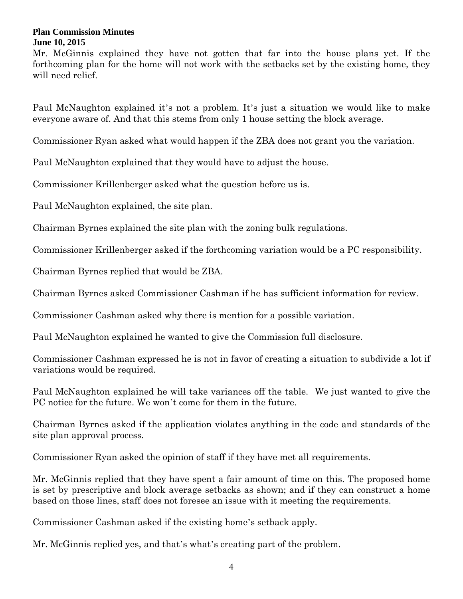Mr. McGinnis explained they have not gotten that far into the house plans yet. If the forthcoming plan for the home will not work with the setbacks set by the existing home, they will need relief.

Paul McNaughton explained it's not a problem. It's just a situation we would like to make everyone aware of. And that this stems from only 1 house setting the block average.

Commissioner Ryan asked what would happen if the ZBA does not grant you the variation.

Paul McNaughton explained that they would have to adjust the house.

Commissioner Krillenberger asked what the question before us is.

Paul McNaughton explained, the site plan.

Chairman Byrnes explained the site plan with the zoning bulk regulations.

Commissioner Krillenberger asked if the forthcoming variation would be a PC responsibility.

Chairman Byrnes replied that would be ZBA.

Chairman Byrnes asked Commissioner Cashman if he has sufficient information for review.

Commissioner Cashman asked why there is mention for a possible variation.

Paul McNaughton explained he wanted to give the Commission full disclosure.

Commissioner Cashman expressed he is not in favor of creating a situation to subdivide a lot if variations would be required.

Paul McNaughton explained he will take variances off the table. We just wanted to give the PC notice for the future. We won't come for them in the future.

Chairman Byrnes asked if the application violates anything in the code and standards of the site plan approval process.

Commissioner Ryan asked the opinion of staff if they have met all requirements.

Mr. McGinnis replied that they have spent a fair amount of time on this. The proposed home is set by prescriptive and block average setbacks as shown; and if they can construct a home based on those lines, staff does not foresee an issue with it meeting the requirements.

Commissioner Cashman asked if the existing home's setback apply.

Mr. McGinnis replied yes, and that's what's creating part of the problem.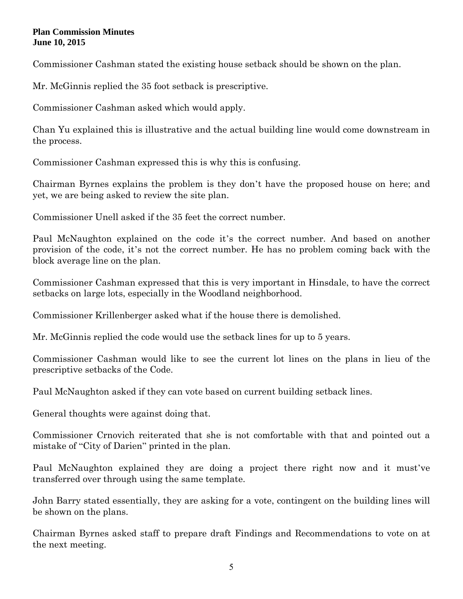Commissioner Cashman stated the existing house setback should be shown on the plan.

Mr. McGinnis replied the 35 foot setback is prescriptive.

Commissioner Cashman asked which would apply.

Chan Yu explained this is illustrative and the actual building line would come downstream in the process.

Commissioner Cashman expressed this is why this is confusing.

Chairman Byrnes explains the problem is they don't have the proposed house on here; and yet, we are being asked to review the site plan.

Commissioner Unell asked if the 35 feet the correct number.

Paul McNaughton explained on the code it's the correct number. And based on another provision of the code, it's not the correct number. He has no problem coming back with the block average line on the plan.

Commissioner Cashman expressed that this is very important in Hinsdale, to have the correct setbacks on large lots, especially in the Woodland neighborhood.

Commissioner Krillenberger asked what if the house there is demolished.

Mr. McGinnis replied the code would use the setback lines for up to 5 years.

Commissioner Cashman would like to see the current lot lines on the plans in lieu of the prescriptive setbacks of the Code.

Paul McNaughton asked if they can vote based on current building setback lines.

General thoughts were against doing that.

Commissioner Crnovich reiterated that she is not comfortable with that and pointed out a mistake of "City of Darien" printed in the plan.

Paul McNaughton explained they are doing a project there right now and it must've transferred over through using the same template.

John Barry stated essentially, they are asking for a vote, contingent on the building lines will be shown on the plans.

Chairman Byrnes asked staff to prepare draft Findings and Recommendations to vote on at the next meeting.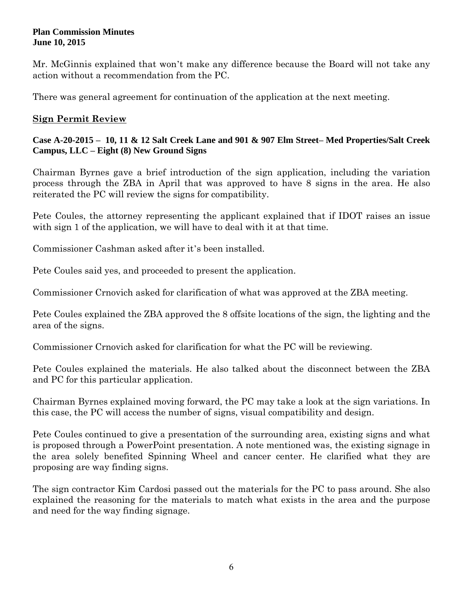Mr. McGinnis explained that won't make any difference because the Board will not take any action without a recommendation from the PC.

There was general agreement for continuation of the application at the next meeting.

# **Sign Permit Review**

## **Case A-20-2015 – 10, 11 & 12 Salt Creek Lane and 901 & 907 Elm Street– Med Properties/Salt Creek Campus, LLC – Eight (8) New Ground Signs**

Chairman Byrnes gave a brief introduction of the sign application, including the variation process through the ZBA in April that was approved to have 8 signs in the area. He also reiterated the PC will review the signs for compatibility.

Pete Coules, the attorney representing the applicant explained that if IDOT raises an issue with sign 1 of the application, we will have to deal with it at that time.

Commissioner Cashman asked after it's been installed.

Pete Coules said yes, and proceeded to present the application.

Commissioner Crnovich asked for clarification of what was approved at the ZBA meeting.

Pete Coules explained the ZBA approved the 8 offsite locations of the sign, the lighting and the area of the signs.

Commissioner Crnovich asked for clarification for what the PC will be reviewing.

Pete Coules explained the materials. He also talked about the disconnect between the ZBA and PC for this particular application.

Chairman Byrnes explained moving forward, the PC may take a look at the sign variations. In this case, the PC will access the number of signs, visual compatibility and design.

Pete Coules continued to give a presentation of the surrounding area, existing signs and what is proposed through a PowerPoint presentation. A note mentioned was, the existing signage in the area solely benefited Spinning Wheel and cancer center. He clarified what they are proposing are way finding signs.

The sign contractor Kim Cardosi passed out the materials for the PC to pass around. She also explained the reasoning for the materials to match what exists in the area and the purpose and need for the way finding signage.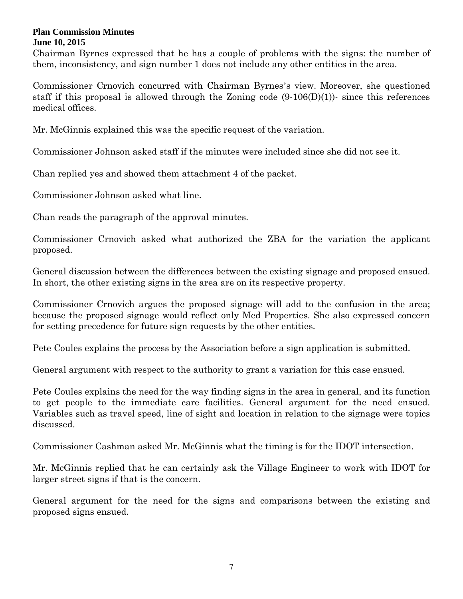Chairman Byrnes expressed that he has a couple of problems with the signs: the number of them, inconsistency, and sign number 1 does not include any other entities in the area.

Commissioner Crnovich concurred with Chairman Byrnes's view. Moreover, she questioned staff if this proposal is allowed through the Zoning code  $(9-106(D)(1))$ - since this references medical offices.

Mr. McGinnis explained this was the specific request of the variation.

Commissioner Johnson asked staff if the minutes were included since she did not see it.

Chan replied yes and showed them attachment 4 of the packet.

Commissioner Johnson asked what line.

Chan reads the paragraph of the approval minutes.

Commissioner Crnovich asked what authorized the ZBA for the variation the applicant proposed.

General discussion between the differences between the existing signage and proposed ensued. In short, the other existing signs in the area are on its respective property.

Commissioner Crnovich argues the proposed signage will add to the confusion in the area; because the proposed signage would reflect only Med Properties. She also expressed concern for setting precedence for future sign requests by the other entities.

Pete Coules explains the process by the Association before a sign application is submitted.

General argument with respect to the authority to grant a variation for this case ensued.

Pete Coules explains the need for the way finding signs in the area in general, and its function to get people to the immediate care facilities. General argument for the need ensued. Variables such as travel speed, line of sight and location in relation to the signage were topics discussed.

Commissioner Cashman asked Mr. McGinnis what the timing is for the IDOT intersection.

Mr. McGinnis replied that he can certainly ask the Village Engineer to work with IDOT for larger street signs if that is the concern.

General argument for the need for the signs and comparisons between the existing and proposed signs ensued.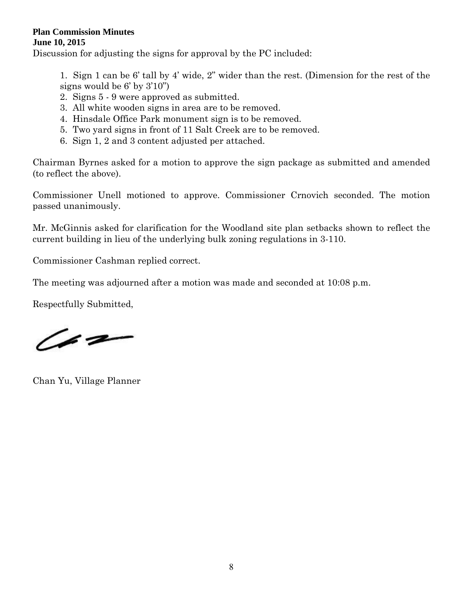Discussion for adjusting the signs for approval by the PC included:

1. Sign 1 can be 6' tall by 4' wide, 2" wider than the rest. (Dimension for the rest of the signs would be 6' by 3'10")

- 2. Signs 5 9 were approved as submitted.
- 3. All white wooden signs in area are to be removed.
- 4. Hinsdale Office Park monument sign is to be removed.
- 5. Two yard signs in front of 11 Salt Creek are to be removed.
- 6. Sign 1, 2 and 3 content adjusted per attached.

Chairman Byrnes asked for a motion to approve the sign package as submitted and amended (to reflect the above).

Commissioner Unell motioned to approve. Commissioner Crnovich seconded. The motion passed unanimously.

Mr. McGinnis asked for clarification for the Woodland site plan setbacks shown to reflect the current building in lieu of the underlying bulk zoning regulations in 3-110.

Commissioner Cashman replied correct.

The meeting was adjourned after a motion was made and seconded at 10:08 p.m.

Respectfully Submitted,

 $\sqrt{22}$ 

Chan Yu, Village Planner